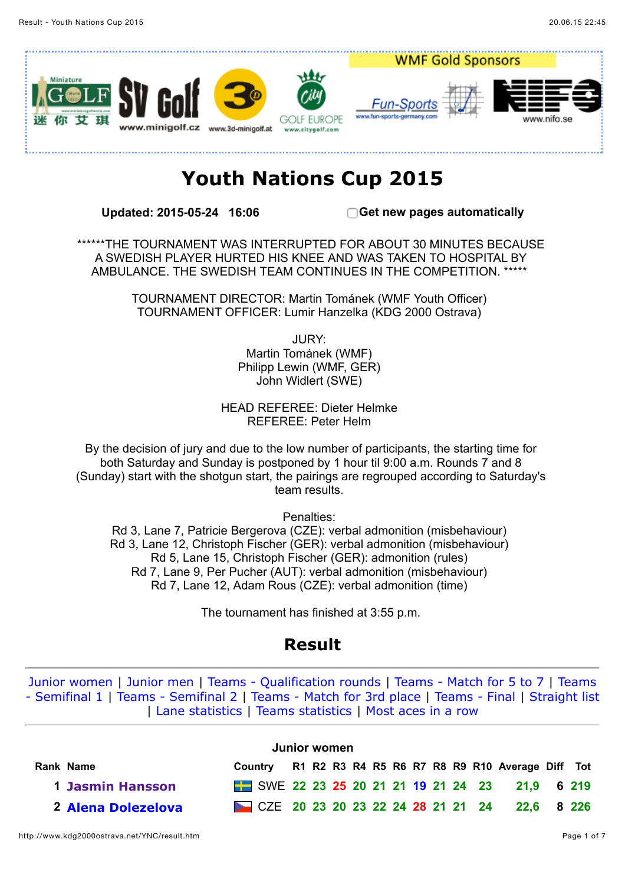

# **Youth Nations Cup 2015**

**Updated: 2015-05-24 16:06 Get new pages automatically**

\*\*\*\*\*\*THE TOURNAMENT WAS INTERRUPTED FOR ABOUT 30 MINUTES BECAUSE A SWEDISH PLAYER HURTED HIS KNEE AND WAS TAKEN TO HOSPITAL BY AMBULANCE. THE SWEDISH TEAM CONTINUES IN THE COMPETITION. \*\*\*\*\*

> TOURNAMENT DIRECTOR: Martin Tománek (WMF Youth Officer) TOURNAMENT OFFICER: Lumir Hanzelka (KDG 2000 Ostrava)

> > JURY: Martin Tománek (WMF) Philipp Lewin (WMF, GER) John Widlert (SWE)

HEAD REFEREE: Dieter Helmke REFEREE: Peter Helm

By the decision of jury and due to the low number of participants, the starting time for both Saturday and Sunday is postponed by 1 hour til 9:00 a.m. Rounds 7 and 8 (Sunday) start with the shotgun start, the pairings are regrouped according to Saturday's team results.

Penalties:

Rd 3, Lane 7, Patricie Bergerova (CZE): verbal admonition (misbehaviour) Rd 3, Lane 12, Christoph Fischer (GER): verbal admonition (misbehaviour) Rd 5, Lane 15, Christoph Fischer (GER): admonition (rules) Rd 7, Lane 9, Per Pucher (AUT): verbal admonition (misbehaviour) Rd 7, Lane 12, Adam Rous (CZE): verbal admonition (time)

The tournament has finished at 3:55 p.m.

## **Result**

[Junior women](http://www.kdg2000ostrava.net/YNC/result.htm#c13) | [Junior men](http://www.kdg2000ostrava.net/YNC/result.htm#c14) | [Teams - Qualification rounds](http://www.kdg2000ostrava.net/YNC/result.htm#t0) | [Teams - Match for 5 to 7](http://www.kdg2000ostrava.net/YNC/result.htm#t1) | Teams [- Semifinal 1 | Teams - Semifinal 2 | Teams - Match for 3rd place | Teams - Final | Straight lis](http://www.kdg2000ostrava.net/YNC/result.htm#t2)[t](http://www.kdg2000ostrava.net/YNC/straight.htm) | [Lane statistics](http://www.kdg2000ostrava.net/YNC/holestat.htm) | [Teams statistics](http://www.kdg2000ostrava.net/YNC/teamstat.htm) | [Most aces in a row](http://www.kdg2000ostrava.net/YNC/acesrow.htm)

|                         |                                              | Junior women |  |  |  |  |                                                 |  |
|-------------------------|----------------------------------------------|--------------|--|--|--|--|-------------------------------------------------|--|
| Rank Name               | Country                                      |              |  |  |  |  | R1 R2 R3 R4 R5 R6 R7 R8 R9 R10 Average Diff Tot |  |
| <b>1 Jasmin Hansson</b> | SWE 22 23 25 20 21 21 19 21 24 23 21,9 6 219 |              |  |  |  |  |                                                 |  |
| 2 Alena Dolezelova      | CZE 20 23 20 23 22 24 28 21 21 24 22,6 8 226 |              |  |  |  |  |                                                 |  |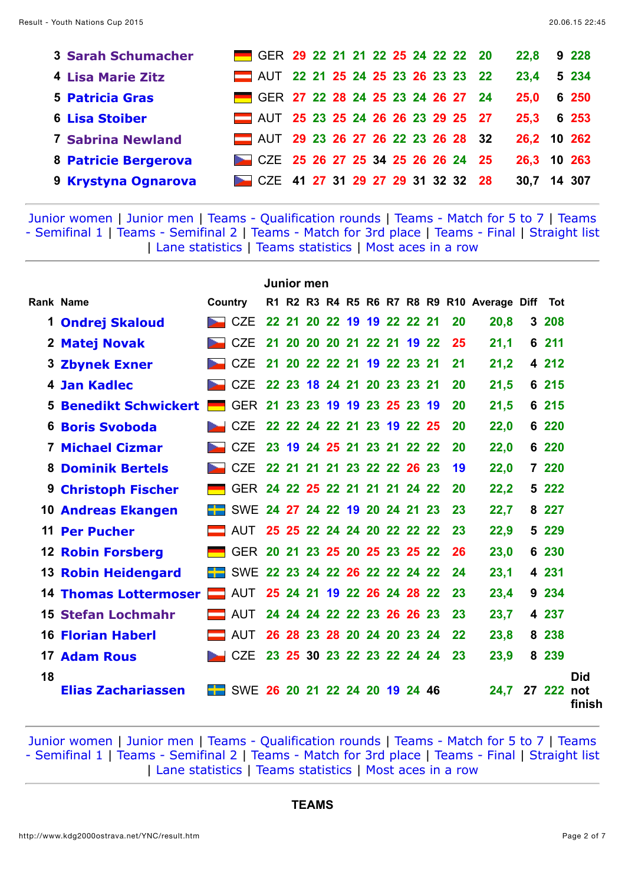| <b>3 Sarah Schumacher</b> | GER 29 22 21 21 22 25 24 22 22 20 |  |  |  |  |  | 22.8        | 9 228   |
|---------------------------|-----------------------------------|--|--|--|--|--|-------------|---------|
| <b>4 Lisa Marie Zitz</b>  | AUT 22 21 25 24 25 23 26 23 23 22 |  |  |  |  |  | 23,4        | 5 2 3 4 |
| <b>5 Patricia Gras</b>    | GER 27 22 28 24 25 23 24 26 27 24 |  |  |  |  |  | 25,0        | 6 250   |
| <b>6 Lisa Stoiber</b>     | AUT 25 23 25 24 26 26 23 29 25 27 |  |  |  |  |  | 25,3 6 253  |         |
| <b>7 Sabrina Newland</b>  | AUT 29 23 26 27 26 22 23 26 28 32 |  |  |  |  |  | 26,2 10 262 |         |
| 8 Patricie Bergerova      | CZE 25 26 27 25 34 25 26 26 24 25 |  |  |  |  |  | 26,3 10 263 |         |
| 9 Krystyna Ognarova       | CZE 41 27 31 29 27 29 31 32 32 28 |  |  |  |  |  | 30,7        | 14 307  |

|    |                              |         |                                |           | <b>Junior men</b> |                            |  |  |     |    |                                             |         |                             |
|----|------------------------------|---------|--------------------------------|-----------|-------------------|----------------------------|--|--|-----|----|---------------------------------------------|---------|-----------------------------|
|    | <b>Rank Name</b>             | Country |                                |           |                   |                            |  |  |     |    | R1 R2 R3 R4 R5 R6 R7 R8 R9 R10 Average Diff | Tot     |                             |
| 1  | <b>Ondrej Skaloud</b>        |         | <b>CZE</b>                     |           |                   | 22 21 20 22 19 19 22 22 21 |  |  |     | 20 | 20,8                                        | 3 208   |                             |
|    | 2 Matej Novak                |         | <b>CZE</b>                     | 21        |                   | 20 20 20 21 22 21 19 22    |  |  |     | 25 | 21,1                                        | 6 211   |                             |
|    | <b>3 Zbynek Exner</b>        |         | <b>CZE</b>                     | 21        | <b>20</b>         | 22 22 21 19 22 23          |  |  | -21 | 21 | 21,2                                        | 4 212   |                             |
|    | 4 Jan Kadlec                 |         | <b>CZE</b>                     |           |                   | 22 23 18 24 21 20 23 23 21 |  |  |     | 20 | 21,5                                        | 6 215   |                             |
| 5. | <b>Benedikt Schwickert  </b> |         | <b>GER</b>                     |           |                   | 21 23 23 19 19 23 25 23 19 |  |  |     | 20 | 21,5                                        | 6 215   |                             |
|    | <b>6 Boris Svoboda</b>       |         | CZE                            |           |                   | 22 22 24 22 21 23 19 22 25 |  |  |     | 20 | 22,0                                        | 6 220   |                             |
| 7  | <b>Michael Cizmar</b>        |         | <b>CZE</b>                     |           |                   | 23 19 24 25 21 23 21 22 22 |  |  |     | 20 | 22,0                                        | 6 220   |                             |
|    | <b>8 Dominik Bertels</b>     |         | <b>CZE</b>                     |           |                   | 22 21 21 21 23 22 22 26 23 |  |  |     | 19 | 22,0                                        | 7 220   |                             |
|    | <b>9 Christoph Fischer</b>   |         | GER 24 22 25 22 21 21 21 24 22 |           |                   |                            |  |  |     | 20 | 22,2                                        | 5 222   |                             |
|    | <b>10 Andreas Ekangen</b>    |         | SWE 24 27 24 22 19 20 24 21 23 |           |                   |                            |  |  |     | 23 | 22,7                                        | 8 2 2 7 |                             |
|    | <b>11 Per Pucher</b>         |         | AUT                            |           |                   | 25 25 22 24 24 20 22 22 22 |  |  |     | 23 | 22,9                                        | 5 229   |                             |
|    | <b>12 Robin Forsberg</b>     |         | <b>GER</b>                     | <b>20</b> |                   | 21 23 25 20 25 23 25 22    |  |  |     | 26 | 23,0                                        | 6 230   |                             |
|    | <b>13 Robin Heidengard</b>   |         | <b>SWE</b>                     |           |                   | 22 23 24 22 26 22 22 24 22 |  |  |     | 24 | 23,1                                        | 4 231   |                             |
|    | <b>14 Thomas Lottermoser</b> |         | <b>AUT</b>                     |           |                   | 25 24 21 19 22 26 24 28 22 |  |  |     | 23 | 23,4                                        | 9 234   |                             |
|    | 15 Stefan Lochmahr           |         | AUT                            |           |                   | 24 24 24 22 22 23 26 26 23 |  |  |     | 23 | 23,7                                        | 4 237   |                             |
|    | <b>16 Florian Haberl</b>     |         | AUT                            |           |                   | 26 28 23 28 20 24 20 23 24 |  |  |     | 22 | 23,8                                        | 8 238   |                             |
|    | <b>17 Adam Rous</b>          |         | <b>CZE</b>                     |           |                   | 23 25 30 23 22 23 22 24 24 |  |  |     | 23 | 23,9                                        | 8 239   |                             |
| 18 | <b>Elias Zachariassen</b>    |         | SWE 26 20 21 22 24 20 19 24 46 |           |                   |                            |  |  |     |    | 24,7                                        | 27 222  | <b>Did</b><br>not<br>finish |

[Junior women](http://www.kdg2000ostrava.net/YNC/result.htm#c13) | [Junior men](http://www.kdg2000ostrava.net/YNC/result.htm#c14) | [Teams - Qualification rounds](http://www.kdg2000ostrava.net/YNC/result.htm#t0) | [Teams - Match for 5 to 7](http://www.kdg2000ostrava.net/YNC/result.htm#t1) | Teams [- Semifinal 1 | Teams - Semifinal 2 | Teams - Match for 3rd place | Teams - Final | Straight lis](http://www.kdg2000ostrava.net/YNC/result.htm#t2)[t](http://www.kdg2000ostrava.net/YNC/straight.htm) | [Lane statistics](http://www.kdg2000ostrava.net/YNC/holestat.htm) | [Teams statistics](http://www.kdg2000ostrava.net/YNC/teamstat.htm) | [Most aces in a row](http://www.kdg2000ostrava.net/YNC/acesrow.htm)

#### **TEAMS**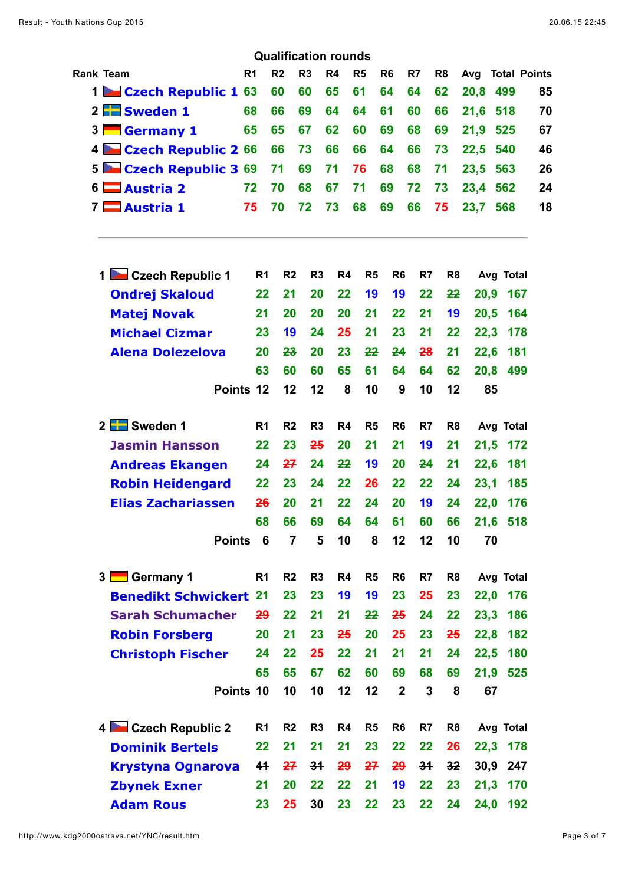|                |                                    |                | <b>Qualification rounds</b> |                |                |                |                |    |                |                         |           |    |
|----------------|------------------------------------|----------------|-----------------------------|----------------|----------------|----------------|----------------|----|----------------|-------------------------|-----------|----|
|                | Rank Team                          | R <sub>1</sub> | R <sub>2</sub>              | R <sub>3</sub> | R <sub>4</sub> | R <sub>5</sub> | R <sub>6</sub> | R7 | R <sub>8</sub> | <b>Avg</b> Total Points |           |    |
|                | 1 Czech Republic 1 63              |                | 60                          | 60             | 65             | 61             | 64             | 64 | 62             | 20,8                    | 499       | 85 |
|                | $2$ $\blacksquare$ Sweden 1        | 68             | 66                          | 69             | 64             | 64             | 61             | 60 | 66             | 21,6                    | 518       | 70 |
| 3 <sup>1</sup> | Germany 1                          | 65             | 65                          | 67             | 62             | 60             | 69             | 68 | 69             | 21,9                    | 525       | 67 |
| 4              | Czech Republic 2 66                |                | 66                          | 73             | 66             | 66             | 64             | 66 | 73             | 22,5                    | 540       | 46 |
| 5 <sup>1</sup> | Czech Republic 3 69                |                | 71                          | 69             | 71             | 76             | 68             | 68 | 71             | 23,5                    | 563       | 26 |
|                | $6 \blacksquare$ Austria 2         | 72             | 70                          | 68             | 67             | 71             | 69             | 72 | 73             | 23,4                    | 562       | 24 |
|                | 7 <b>Austria 1</b>                 | 75             | 70                          | 72             | 73             | 68             | 69             | 66 | 75             | 23,7                    | 568       | 18 |
|                | 1 Czech Republic 1                 | R <sub>1</sub> | R <sub>2</sub>              | R <sub>3</sub> | R4             | R <sub>5</sub> | R <sub>6</sub> | R7 | R <sub>8</sub> |                         | Avg Total |    |
|                | <b>Ondrej Skaloud</b>              | 22             | 21                          | 20             | 22             | 19             | 19             | 22 | 22             | 20,9                    | 167       |    |
|                | <b>Matej Novak</b>                 | 21             | 20                          | 20             | 20             | 21             | 22             | 21 | 19             | 20,5                    | 164       |    |
|                | <b>Michael Cizmar</b>              | 23             | 19                          | 24             | 25             | 21             | 23             | 21 | 22             | 22,3                    | 178       |    |
|                | <b>Alena Dolezelova</b>            | 20             | 23                          | 20             | 23             | 22             | 24             | 28 | 21             | 22,6                    | 181       |    |
|                |                                    | 63             | 60                          | 60             | 65             | 61             | 64             | 64 | 62             | 20,8                    | 499       |    |
|                | Points 12                          |                | 12                          | 12             | 8              | 10             | 9              | 10 | 12             | 85                      |           |    |
|                | 2 Sweden 1                         | R <sub>1</sub> | R <sub>2</sub>              | R <sub>3</sub> | R4             | R <sub>5</sub> | R <sub>6</sub> | R7 | R <sub>8</sub> |                         | Avg Total |    |
|                | <b>Jasmin Hansson</b>              | 22             | 23                          | 25             | 20             | 21             | 21             | 19 | 21             | 21,5                    | 172       |    |
|                | <b>Andreas Ekangen</b>             | 24             | 27                          | 24             | 22             | 19             | 20             | 24 | 21             | 22,6                    | 181       |    |
|                | <b>Robin Heidengard</b>            | 22             | 23                          | 24             | 22             | 26             | 22             | 22 | 24             | 23,1                    | 185       |    |
|                | <b>Elias Zachariassen</b>          |                | 26<br>20                    | 21             | 22             | 24             | 20             | 19 | 24             | 22,0                    | 176       |    |
|                |                                    | 68             | 66                          | 69             | 64             | 64             | 61             | 60 | 66             |                         | 21,6 518  |    |
|                | <b>Points</b>                      |                | $\overline{7}$<br>6         | 5              | 10             | 8              | 12             | 12 | 10             | 70                      |           |    |
|                | <b>Germany 1</b><br>3 <sup>1</sup> | R <sub>1</sub> | R <sub>2</sub>              | R <sub>3</sub> | R <sub>4</sub> | R <sub>5</sub> | R <sub>6</sub> | R7 | R <sub>8</sub> |                         | Avg Total |    |
|                | <b>Benedikt Schwickert</b>         | 21             | 23                          | 23             | 19             | 19             | 23             | 25 | 23             | 22,0                    | 176       |    |
|                | <b>Sarah Schumacher</b>            |                | 29<br>22                    | 21             | 21             | 22             | 25             | 24 | 22             | 23,3                    | 186       |    |
|                | <b>Robin Forsberg</b>              | 20             | 21                          | 23             | 25             | 20             | 25             | 23 | 25             | 22,8                    | 182       |    |
|                | <b>Christoph Fischer</b>           | 24             | 22                          | 25             | 22             | 21             | 21             | 21 | 24             | 22,5                    | 180       |    |
|                |                                    | 65             | 65                          | 67             | 62             | 60             | 69             | 68 | 69             | 21,9                    | 525       |    |
|                | Points 10                          |                | 10                          | 10             | 12             | 12             | $\overline{2}$ | 3  | 8              | 67                      |           |    |
|                | 4 Czech Republic 2                 | R <sub>1</sub> | R <sub>2</sub>              | R <sub>3</sub> | R <sub>4</sub> | R <sub>5</sub> | R <sub>6</sub> | R7 | R <sub>8</sub> |                         | Avg Total |    |
|                | <b>Dominik Bertels</b>             | 22             | 21                          | 21             | 21             | 23             | 22             | 22 | 26             |                         | 22,3 178  |    |
|                | <b>Krystyna Ognarova</b>           | 41             | 27                          | 34             | 29             | 27             | 29             | 34 | 32             | 30,9                    | 247       |    |
|                | <b>Zbynek Exner</b>                | 21             | 20                          | 22             | 22             | 21             | 19             | 22 | 23             | 21,3                    | 170       |    |
|                | <b>Adam Rous</b>                   | 23             | 25                          | 30             | 23             | 22             | 23             | 22 | 24             | 24,0                    | 192       |    |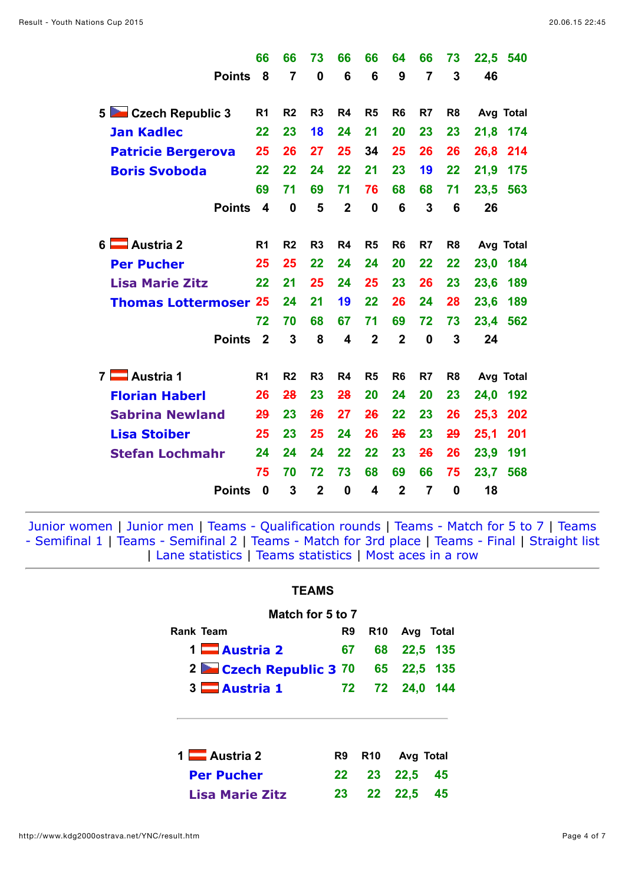|                              | 66               | 66             | 73             | 66             | 66             | 64             | 66             | 73             | 22,5<br>540 |
|------------------------------|------------------|----------------|----------------|----------------|----------------|----------------|----------------|----------------|-------------|
| <b>Points</b>                | 8                | $\overline{7}$ | 0              | 6              | 6              | 9              | $\overline{7}$ | 3              | 46          |
| 5 Czech Republic 3           | R <sub>1</sub>   | R <sub>2</sub> | R <sub>3</sub> | R4             | R <sub>5</sub> | R <sub>6</sub> | R7             | R <sub>8</sub> | Avg Total   |
| <b>Jan Kadlec</b>            | 22               | 23             | 18             | 24             | 21             | 20             | 23             | 23             | 21,8<br>174 |
| <b>Patricie Bergerova</b>    | 25               | 26             | 27             | 25             | 34             | 25             | 26             | 26             | 26,8<br>214 |
| <b>Boris Svoboda</b>         | 22               | 22             | 24             | 22             | 21             | 23             | 19             | 22             | 21,9<br>175 |
|                              | 69               | 71             | 69             | 71             | 76             | 68             | 68             | 71             | 563<br>23,5 |
| <b>Points</b>                | $\boldsymbol{4}$ | $\mathbf 0$    | 5              | $\overline{2}$ | $\mathbf 0$    | 6              | 3              | 6              | 26          |
|                              |                  |                |                |                |                |                |                |                |             |
| 6 <b>Austria</b> 2           | R <sub>1</sub>   | R <sub>2</sub> | R <sub>3</sub> | R <sub>4</sub> | R5             | R <sub>6</sub> | R <sub>7</sub> | R <sub>8</sub> | Avg Total   |
| <b>Per Pucher</b>            | 25               | 25             | 22             | 24             | 24             | 20             | 22             | 22             | 184<br>23,0 |
| <b>Lisa Marie Zitz</b>       | 22               | 21             | 25             | 24             | 25             | 23             | 26             | 23             | 23,6<br>189 |
| <b>Thomas Lottermoser 25</b> |                  | 24             | 21             | 19             | 22             | 26             | 24             | 28             | 23,6<br>189 |
|                              | 72               | 70             | 68             | 67             | 71             | 69             | 72             | 73             | 23,4<br>562 |
| <b>Points</b>                | $\overline{2}$   | 3              | 8              | 4              | $\mathbf{2}$   | $\overline{2}$ | $\bf{0}$       | 3              | 24          |
| 7 <b>Nustria</b> 1           | R <sub>1</sub>   | R <sub>2</sub> | R <sub>3</sub> | R4             | R <sub>5</sub> | R <sub>6</sub> | R7             | R <sub>8</sub> | Avg Total   |
| <b>Florian Haberl</b>        | 26               | 28             | 23             | 28             | 20             | 24             | 20             | 23             | 192<br>24,0 |
| <b>Sabrina Newland</b>       | 29               | 23             | 26             | 27             | 26             | 22             | 23             | 26             | 202<br>25,3 |
| <b>Lisa Stoiber</b>          | 25               | 23             | 25             | 24             | 26             | 26             | 23             | 29             | 201<br>25,1 |
| <b>Stefan Lochmahr</b>       | 24               | 24             | 24             | 22             | 22             | 23             | 26             | 26             | 191<br>23,9 |
|                              | 75               | 70             | 72             | 73             | 68             | 69             | 66             | 75             | 23,7<br>568 |
| <b>Points</b>                | 0                | 3              | $\mathbf 2$    | 0              | 4              | $\mathbf 2$    | 7              | 0              | 18          |

| <b>\MS</b> |
|------------|
|            |

| Match for 5 to 7           |    |      |                           |          |
|----------------------------|----|------|---------------------------|----------|
| Rank Team                  | R9 |      | R <sub>10</sub> Avg Total |          |
| 1 $\blacksquare$ Austria 2 | 67 | 68 - |                           | 22,5 135 |
| 2 Czech Republic 3 70      |    | 65 — |                           | 22,5 135 |
| 3 Austria 1                |    |      | 72 72 24,0 144            |          |
| 1 Austria 2                | R9 |      | R10 Avg Total             |          |
| <b>Per Pucher</b>          | 22 | 23   | 22.5                      | 45       |
| <b>Lisa Marie Zitz</b>     | 23 | 22   | 22,5                      | 45       |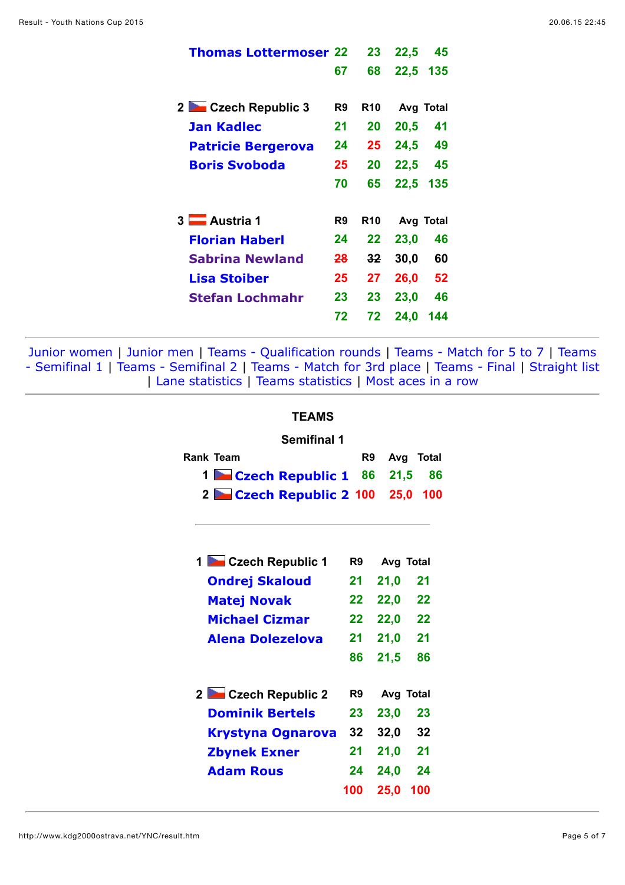| <b>Thomas Lottermoser 22</b> |               | 23         | 22,5      | 45  |
|------------------------------|---------------|------------|-----------|-----|
|                              | 67            | 68         | 22,5 135  |     |
|                              |               |            |           |     |
| 2 Czech Republic 3           | R9            | R10        | Avg Total |     |
| Jan Kadlec                   | 21            | 20         | 20,5      | 41  |
| <b>Patricie Bergerova</b>    | 24            | 25         | 24,5      | 49  |
| <b>Boris Svoboda</b>         | 25            | 20         | 22,5      | 45  |
|                              | 70            | 65         | 22,5      | 135 |
| 3 Austria 1                  | R9            | <b>R10</b> | Avg Total |     |
|                              |               |            |           |     |
| <b>Florian Haberl</b>        | 24            | 22         | 23,0      | 46  |
| <b>Sabrina Newland</b>       | <del>28</del> | $32 \,$    | 30,0      | 60  |
| <b>Lisa Stoiber</b>          | 25            | 27         | 26,0      | 52  |
| <b>Stefan Lochmahr</b>       | 23            | 23         | 23,0      | 46  |
|                              | 72            | 72         | 24,0      | 144 |
|                              |               |            |           |     |

### **TEAMS**

#### **Semifinal 1**

| Rank Team |                                 | R9 Avg Total |  |
|-----------|---------------------------------|--------------|--|
|           | 1 Czech Republic 1 86 21,5 86   |              |  |
|           | 2 Czech Republic 2 100 25,0 100 |              |  |

| 1 Czech Republic 1       | R9  |      | Avg Total |
|--------------------------|-----|------|-----------|
| <b>Ondrej Skaloud</b>    | 21  | 21,0 | 21        |
| <b>Matej Novak</b>       | 22  | 22,0 | 22        |
| <b>Michael Cizmar</b>    | 22  | 22,0 | 22        |
| <b>Alena Dolezelova</b>  | 21  | 21,0 | 21        |
|                          | 86  | 21,5 | 86        |
|                          |     |      |           |
| 2 Czech Republic 2       | R9  |      | Avg Total |
| <b>Dominik Bertels</b>   | 23  | 23,0 | 23        |
| <b>Krystyna Ognarova</b> | 32  | 32,0 | 32        |
| <b>Zbynek Exner</b>      | 21  | 21,0 | 21        |
| <b>Adam Rous</b>         | 24  | 24,0 | 24        |
|                          | 100 | 25,0 | 100       |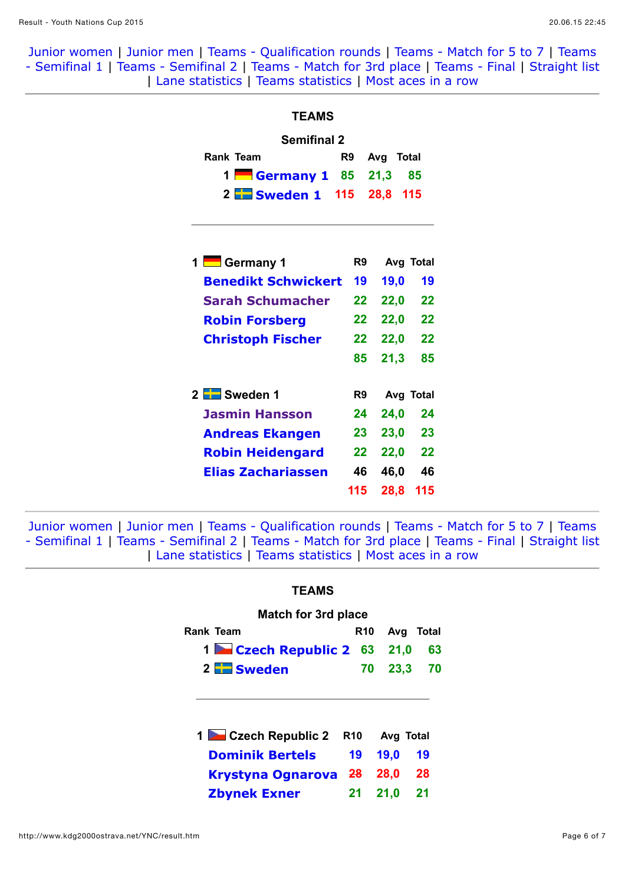| <b>TEAMS</b>               |                 |              |           |
|----------------------------|-----------------|--------------|-----------|
| <b>Semifinal 2</b>         |                 |              |           |
| Rank Team<br>R9            |                 | Avg Total    |           |
| 1 Germany 1 85             |                 | 21,3 85      |           |
| 2 Sweden 1 115 28,8 115    |                 |              |           |
| 1 Germany 1                |                 | R9 Avg Total |           |
| <b>Benedikt Schwickert</b> | 19              | 19,0         | 19        |
| Sarah Schumacher           | 22 <sub>2</sub> |              | 22,0 22   |
| <b>Robin Forsberg</b>      | 22 <sub>2</sub> |              | 22,0 22   |
| <b>Christoph Fischer</b>   | 22              |              | 22,0 22   |
|                            | 85              | 21,3         | 85        |
| 2 Sweden 1                 | R9              |              | Avg Total |
| <b>Jasmin Hansson</b>      | 24              | <b>24,0</b>  | 24        |
| <b>Andreas Ekangen</b>     | 23              |              | 23,0 23   |
| <b>Robin Heidengard</b>    | 22              |              | 22,0 22   |
| <b>Elias Zachariassen</b>  | 46              |              | 46,0 46   |
|                            | 115             | 28,8         | 115       |

[Junior women](http://www.kdg2000ostrava.net/YNC/result.htm#c13) | [Junior men](http://www.kdg2000ostrava.net/YNC/result.htm#c14) | [Teams - Qualification rounds](http://www.kdg2000ostrava.net/YNC/result.htm#t0) | [Teams - Match for 5 to 7](http://www.kdg2000ostrava.net/YNC/result.htm#t1) | Teams [- Semifinal 1 | Teams - Semifinal 2 | Teams - Match for 3rd place | Teams - Final | Straight lis](http://www.kdg2000ostrava.net/YNC/result.htm#t2)[t](http://www.kdg2000ostrava.net/YNC/straight.htm) | [Lane statistics](http://www.kdg2000ostrava.net/YNC/holestat.htm) | [Teams statistics](http://www.kdg2000ostrava.net/YNC/teamstat.htm) | [Most aces in a row](http://www.kdg2000ostrava.net/YNC/acesrow.htm)

| <b>TEAMS</b>               |             |             |       |    |
|----------------------------|-------------|-------------|-------|----|
| <b>Match for 3rd place</b> |             |             |       |    |
| Rank Team                  | <b>R</b> 10 | Avq         | Total |    |
| 1 Czech Republic 2 63      |             | 21,0        |       | 63 |
| 2 <b>Extrac</b> k Sweden   | 70          | 23,3        |       | 70 |
| 1 Czech Republic 2         | <b>R10</b>  | Avg Total   |       |    |
|                            |             |             |       |    |
| <b>Dominik Bertels</b>     | 19          | <b>19,0</b> | 19    |    |
| Krystyna Ognarova 28       |             | 28,0        | 28    |    |